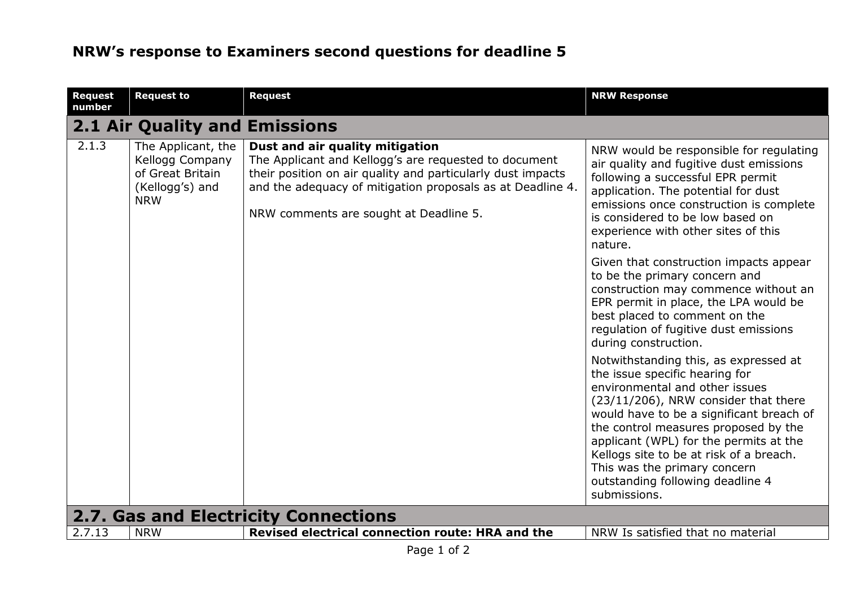| <b>Request</b><br>number                    | <b>Request to</b>                                                                          | <b>Request</b>                                                                                                                                                                                                                                                  | <b>NRW Response</b>                                                                                                                                                                                                                                                                                                                                                                                            |  |
|---------------------------------------------|--------------------------------------------------------------------------------------------|-----------------------------------------------------------------------------------------------------------------------------------------------------------------------------------------------------------------------------------------------------------------|----------------------------------------------------------------------------------------------------------------------------------------------------------------------------------------------------------------------------------------------------------------------------------------------------------------------------------------------------------------------------------------------------------------|--|
|                                             | <b>2.1 Air Quality and Emissions</b>                                                       |                                                                                                                                                                                                                                                                 |                                                                                                                                                                                                                                                                                                                                                                                                                |  |
| 2.1.3                                       | The Applicant, the<br>Kellogg Company<br>of Great Britain<br>(Kellogg's) and<br><b>NRW</b> | Dust and air quality mitigation<br>The Applicant and Kellogg's are requested to document<br>their position on air quality and particularly dust impacts<br>and the adequacy of mitigation proposals as at Deadline 4.<br>NRW comments are sought at Deadline 5. | NRW would be responsible for regulating<br>air quality and fugitive dust emissions<br>following a successful EPR permit<br>application. The potential for dust<br>emissions once construction is complete<br>is considered to be low based on<br>experience with other sites of this<br>nature.                                                                                                                |  |
|                                             |                                                                                            |                                                                                                                                                                                                                                                                 | Given that construction impacts appear<br>to be the primary concern and<br>construction may commence without an<br>EPR permit in place, the LPA would be<br>best placed to comment on the<br>regulation of fugitive dust emissions<br>during construction.                                                                                                                                                     |  |
|                                             |                                                                                            |                                                                                                                                                                                                                                                                 | Notwithstanding this, as expressed at<br>the issue specific hearing for<br>environmental and other issues<br>(23/11/206), NRW consider that there<br>would have to be a significant breach of<br>the control measures proposed by the<br>applicant (WPL) for the permits at the<br>Kellogs site to be at risk of a breach.<br>This was the primary concern<br>outstanding following deadline 4<br>submissions. |  |
| <b>2.7. Gas and Electricity Connections</b> |                                                                                            |                                                                                                                                                                                                                                                                 |                                                                                                                                                                                                                                                                                                                                                                                                                |  |
| 2.7.13                                      | <b>NRW</b>                                                                                 | Revised electrical connection route: HRA and the<br>$\sim$ $\sim$ $\sim$                                                                                                                                                                                        | NRW Is satisfied that no material                                                                                                                                                                                                                                                                                                                                                                              |  |